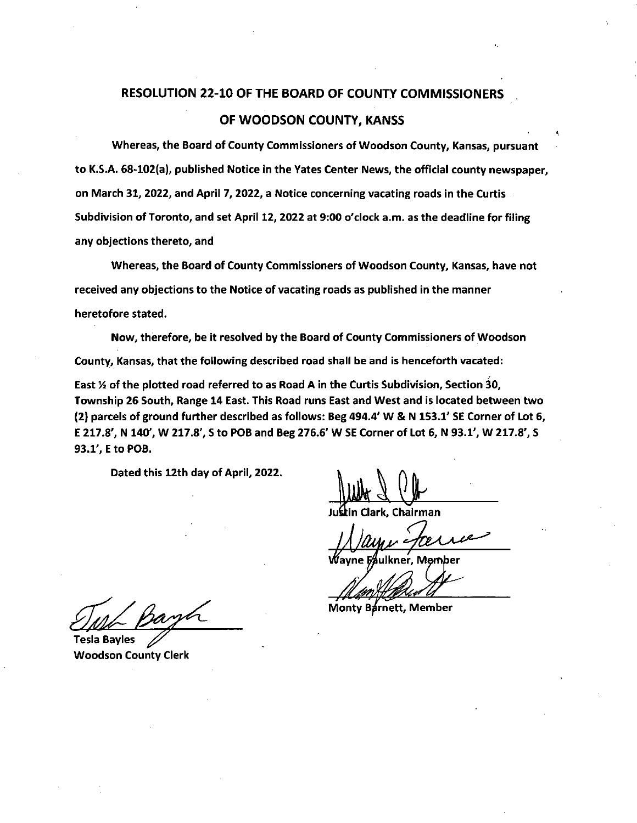## **RESOLUTION 22-10 OF THE BOARD OF COUNTY COMMISSIONERS OF WOODSON COUNTY, KANSS**

**Whereas, the Board of County Commissioners of Woodson County, Kansas, pursuant to K.S.A. 68-102(a), published Notice in the Yates Center News, the official county newspaper, on March 31, 2022, and April 7, 2022, a Notice concerning vacating roads in the Curtis Subdivision of Toronto, and set April 12, 2022 at 9:00 o'clock a.m. as the deadline for filing any objections thereto, and** 

**Whereas, the Board of County Commissioners of Woodson County, Kansas, have not received any objections to the Notice of vacating roads as published in the manner heretofore stated.** 

**Now, therefore, be it resolved by the Board of County Commissioners of Woodson County, Kansas, that the following described road shall be and is henceforth vacated:** 

East  $\frac{1}{2}$  of the plotted road referred to as Road A in the Curtis Subdivision, Section 30, **Township 26 South, Range 14 East. This Road runs East and West and is located between two (2) parcels of ground further described as follows: Beg 494.4' W & N 153.1' SE Corner of Lot 6, E 217.8', N 140', W 217.8', S to POB and Beg 276.6' W SE Corner of Lot 6, N 93.1', W 217.8', S 93.1', E to POB.** 

**Dated this 12th day of April, 2022.** 

**Ju in Clark, Chairman** 

**Monty Barnett, Member** 

**Tesla Bayles** 

**Woodson County Clerk**